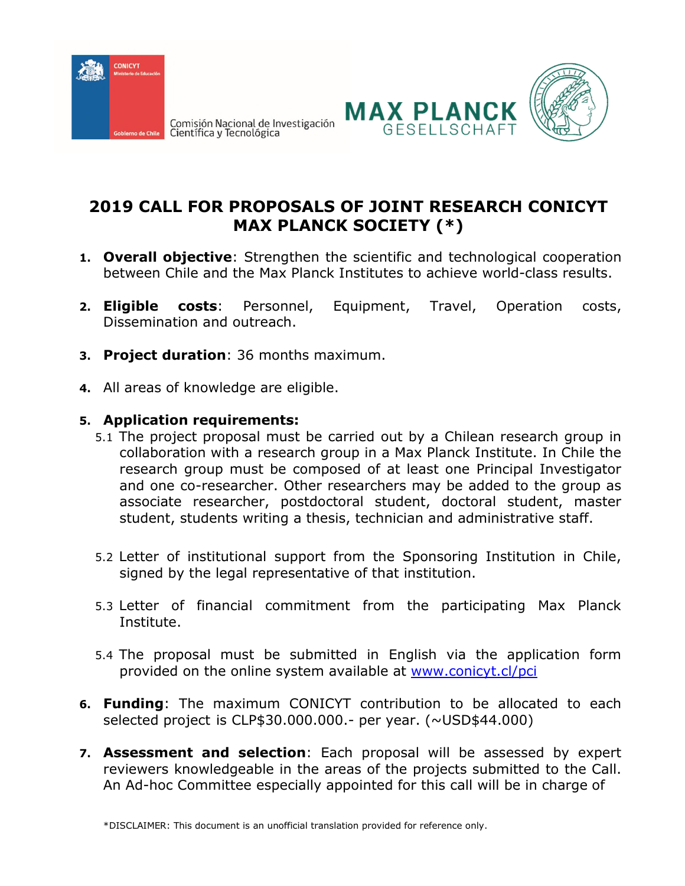

Comisión Nacional de Investigación<br>Científica y Tecnológica





## **2019 CALL FOR PROPOSALS OF JOINT RESEARCH CONICYT MAX PLANCK SOCIETY (\*)**

- **1. Overall objective**: Strengthen the scientific and technological cooperation between Chile and the Max Planck Institutes to achieve world-class results.
- **2. Eligible costs**: Personnel, Equipment, Travel, Operation costs, Dissemination and outreach.
- **3. Project duration**: 36 months maximum.
- **4.** All areas of knowledge are eligible.

## **5. Application requirements:**

- 5.1 The project proposal must be carried out by a Chilean research group in collaboration with a research group in a Max Planck Institute. In Chile the research group must be composed of at least one Principal Investigator and one co-researcher. Other researchers may be added to the group as associate researcher, postdoctoral student, doctoral student, master student, students writing a thesis, technician and administrative staff.
- 5.2 Letter of institutional support from the Sponsoring Institution in Chile, signed by the legal representative of that institution.
- 5.3 Letter of financial commitment from the participating Max Planck Institute.
- 5.4 The proposal must be submitted in English via the application form provided on the online system available at [www.conicyt.cl/](http://www.conicyt.cl/)pci
- **6. Funding**: The maximum CONICYT contribution to be allocated to each selected project is CLP\$30.000.000.- per year. (~USD\$44.000)
- **7. Assessment and selection**: Each proposal will be assessed by expert reviewers knowledgeable in the areas of the projects submitted to the Call. An Ad-hoc Committee especially appointed for this call will be in charge of